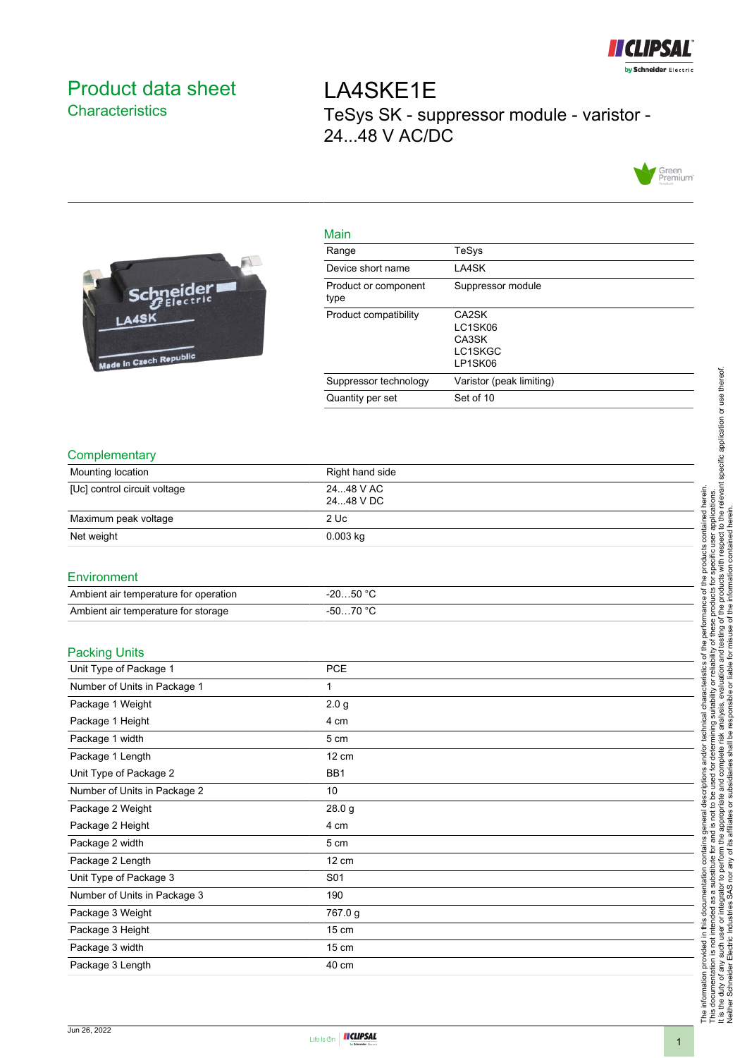

# <span id="page-0-0"></span>Product data sheet **Characteristics**

LA4SKE1E TeSys SK - suppressor module - varistor - 24...48 V AC/DC





| <u>iviali i</u>              |                                                 |
|------------------------------|-------------------------------------------------|
| Range                        | TeSys                                           |
| Device short name            | LA4SK                                           |
| Product or component<br>type | Suppressor module                               |
| Product compatibility        | CA2SK<br>LC1SK06<br>CA3SK<br>LC1SKGC<br>LP1SK06 |
| Suppressor technology        | Varistor (peak limiting)                        |
| Quantity per set             | Set of 10                                       |
|                              |                                                 |

### **Complementary**

| Mounting location            | Right hand side        |
|------------------------------|------------------------|
| [Uc] control circuit voltage | 2448 V AC<br>2448 V DC |
| Maximum peak voltage         | 2 Uc                   |
| Net weight                   | $0.003$ kg             |

Main

#### **Environment**

| Ambient air temperature for operation | $-2050 °C$ |
|---------------------------------------|------------|
| Ambient air temperature for storage   | 70 °C      |

### Packing Units

| Unit Type of Package 1       | <b>PCE</b>       |  |
|------------------------------|------------------|--|
| Number of Units in Package 1 | 1                |  |
| Package 1 Weight             | 2.0 <sub>g</sub> |  |
| Package 1 Height             | 4 cm             |  |
| Package 1 width              | 5 cm             |  |
| Package 1 Length             | $12 \text{ cm}$  |  |
| Unit Type of Package 2       | BB1              |  |
| Number of Units in Package 2 | 10               |  |
| Package 2 Weight             | 28.0 g           |  |
| Package 2 Height             | 4 cm             |  |
| Package 2 width              | 5 cm             |  |
| Package 2 Length             | 12 cm            |  |
| Unit Type of Package 3       | S01              |  |
| Number of Units in Package 3 | 190              |  |
| Package 3 Weight             | 767.0 g          |  |
| Package 3 Height             | $15 \text{ cm}$  |  |
| Package 3 width              | $15 \text{ cm}$  |  |
| Package 3 Length             | 40 cm            |  |
|                              |                  |  |